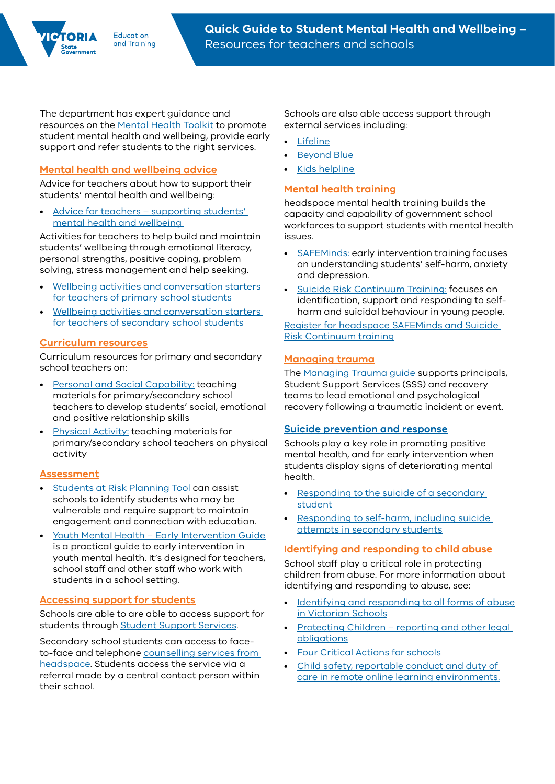The department has expert guidance and resources on the [Mental Health Toolkit](https://www.education.vic.gov.au/school/teachers/health/mentalhealth/Pages/mentalhealthtoolkit.aspx) to promote student mental health and wellbeing, provide early support and refer students to the right services.

# **[Mental health and wellbeing advice](https://www.education.vic.gov.au/school/teachers/health/Pages/mental-health-advice-teachers.aspx)**

Advice for teachers about how to support their students' mental health and wellbeing:

• [Advice for teachers – supporting students'](https://www.education.vic.gov.au/Documents/school/teachers/health/mentalhealth/mental-health-wellbeing-advice-for-teachers.pdf)  [mental health and wellbeing](https://www.education.vic.gov.au/Documents/school/teachers/health/mentalhealth/mental-health-wellbeing-advice-for-teachers.pdf) 

Activities for teachers to help build and maintain students' wellbeing through emotional literacy, personal strengths, positive coping, problem solving, stress management and help seeking.

- Wellbeing activities and conversation starters [for teachers of primary school students](https://www.education.vic.gov.au/Documents/school/teachers/health/wellbeing-social-emotional-learning-activities-primary.pdf)
- Wellbeing activities and conversation starters [for teachers of secondary school students](https://www.education.vic.gov.au/Documents/school/teachers/health/wellbeing-social-emotional-learning-activities-secondary.pdf)

### **[Curriculum resources](https://fuse.education.vic.gov.au/VC/Teacher?personal%20and%20social%20capability)**

Curriculum resources for primary and secondary school teachers on:

- [Personal and Social Capability:](https://fuse.education.vic.gov.au/VC/Teacher?personal%20and%20social%20capability) teaching materials for primary/secondary school teachers to develop students' social, emotional and positive relationship skills
- [Physical Activity:](https://fuse.education.vic.gov.au/ResourcePackage/LandingPage?ObjectId=bb5875a6-fd2a-44ad-9b6b-ef220a2c0b81&SearchScope=All) teaching materials for primary/secondary school teachers on physical activity

### **[Assessment](https://www.education.vic.gov.au/school/teachers/health/mentalhealth/Pages/earlyintervention.aspx)**

- [Students at Risk Planning Tool c](https://edugate.eduweb.vic.gov.au/sites/i/_layouts/15/WopiFrame.aspx?sourcedoc=/sites/i/Shared%20Documents/students-at-risk-planning-tool.docx&action=default)an assist schools to identify students who may be vulnerable and require support to maintain engagement and connection with education.
- [Youth Mental Health Early Intervention Guide](https://www.education.vic.gov.au/Documents/school/teachers/health/mentalhealth/youthmentalhealth_earlyinterventionguide.pdf) is a practical guide to early intervention in youth mental health. It's designed for teachers, school staff and other staff who work with students in a school setting.

## **[Accessing support for students](https://www.education.vic.gov.au/school/teachers/health/mentalhealth/Pages/headspace-counselling-secondary.aspx)**

Schools are able to are able to access support for students through [Student Support Services.](https://www2.education.vic.gov.au/pal/student-support-services/policy)

Secondary school students can access to faceto-face and telephone [counselling services from](https://www.education.vic.gov.au/school/teachers/health/mentalhealth/Pages/headspace-counselling-secondary.aspx)  [headspace.](https://www.education.vic.gov.au/school/teachers/health/mentalhealth/Pages/headspace-counselling-secondary.aspx) Students access the service via a referral made by a central contact person within their school.

Schools are also able access support through external services including:

- **[Lifeline](http://www.lifeline.org.au/)**
- [Beyond Blue](http://www.beyondblue.org.au/)
- [Kids helpline](https://kidshelpline.com.au/)

## **[Mental health training](https://www.education.vic.gov.au/school/teachers/health/mentalhealth/Pages/mental-health-training.aspx)**

headspace mental health training builds the capacity and capability of government school workforces to support students with mental health issues.

- [SAFEMinds:](https://www.education.vic.gov.au/school/teachers/health/mentalhealth/Pages/mental-health-training.aspx) early intervention training focuses on understanding students' self-harm, anxiety and depression.
- [Suicide Risk Continuum Training:](https://www.education.vic.gov.au/school/teachers/health/mentalhealth/Pages/mental-health-training.aspx) focuses on identification, support and responding to selfharm and suicidal behaviour in young people.

[Register for headspace SAFEMinds and Suicide](http://www.eventbrite.com.au/o/headspace-national-youth-mental-health-foundation-ltd-17515993638)  [Risk Continuum training](http://www.eventbrite.com.au/o/headspace-national-youth-mental-health-foundation-ltd-17515993638)

## **[Managing trauma](https://www.education.vic.gov.au/school/teachers/health/mentalhealth/Pages/mental-health-support-after-emergency.aspx)**

The [Managing Trauma guide](https://edugate.eduweb.vic.gov.au/sites/i/_layouts/15/WopiFrame.aspx?sourcedoc=/sites/i/Shared%20Documents/Managing%20Trauma.pdf&action=default) supports principals, Student Support Services (SSS) and recovery teams to lead emotional and psychological recovery following a traumatic incident or event.

### **[Suicide prevention and response](http://www2.education.vic.gov.au/pal/suicide-response-postvention/policy)**

Schools play a key role in promoting positive mental health, and for early intervention when students display signs of deteriorating mental health.

- Responding to the suicide of a secondary [student](https://www2.education.vic.gov.au/pal/suicide-response-postvention/policy)
- [Responding to self-harm, including suicide](https://www2.education.vic.gov.au/pal/self-harm-attempted-suicide-response/policy)  [attempts in secondary students](https://www2.education.vic.gov.au/pal/self-harm-attempted-suicide-response/policy)

## **[Identifying and responding to child abuse](https://www.education.vic.gov.au/school/teachers/health/childprotection/Pages/default.aspx)**

School staff play a critical role in protecting children from abuse. For more information about identifying and responding to abuse, see:

- Identifying and responding to all forms of abuse [in Victorian Schools](https://www.education.vic.gov.au/Documents/about/programs/health/protect/ChildSafeStandard5_SchoolsGuide.pdf)
- [Protecting Children reporting and other legal](https://www2.education.vic.gov.au/pal/protecting-children/policy)  [obligations](https://www2.education.vic.gov.au/pal/protecting-children/policy)
- [Four Critical Actions for schools](https://www.education.vic.gov.au/Documents/about/programs/health/protect/FourCriticalActions_ChildAbuse.pdf)
- [Child safety, reportable conduct and duty of](https://edugate.eduweb.vic.gov.au/sites/i/Pages/School.aspx#/app/content/3216/support_and_service_(schools)%252Fcoronavirus_and_learning_from_home%252Fonline_safety,_health_and_wellbeing_of_students%252Fchild_safety,_reportable_conduct_and_duty_of_care_in_remote_online_learning_environments)  [care in remote online learning environments.](https://edugate.eduweb.vic.gov.au/sites/i/Pages/School.aspx#/app/content/3216/support_and_service_(schools)%252Fcoronavirus_and_learning_from_home%252Fonline_safety,_health_and_wellbeing_of_students%252Fchild_safety,_reportable_conduct_and_duty_of_care_in_remote_online_learning_environments)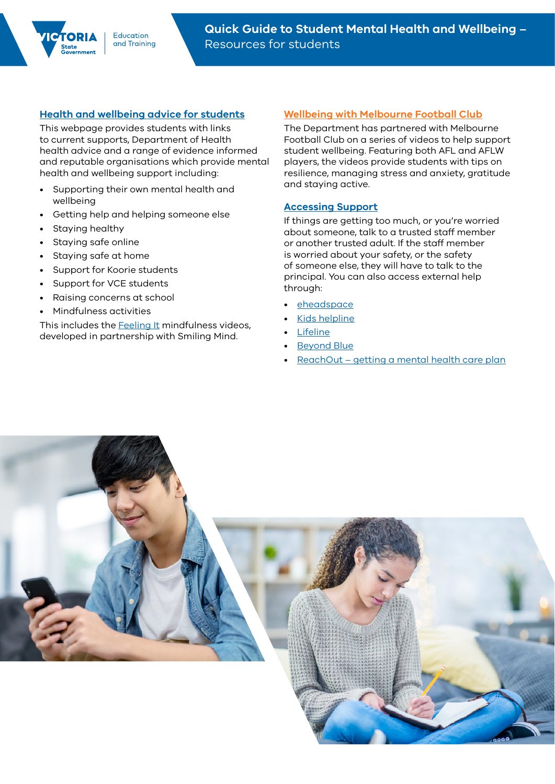### **[Health and wellbeing advice for students](https://www.coronavirus.vic.gov.au/students)**

This webpage provides students with links to current supports, Department of Health health advice and a range of evidence informed and reputable organisations which provide mental health and wellbeing support including:

- Supporting their own mental health and wellbeing
- Getting help and helping someone else
- Staying healthy
- Staying safe online
- Staying safe at home
- Support for Koorie students
- Support for VCE students
- Raising concerns at school
- Mindfulness activities

This includes the [Feeling It](https://www.smilingmind.com.au/feeling-it-year7-to-10) mindfulness videos, developed in partnership with Smiling Mind.

### **[Wellbeing with Melbourne Football Club](https://www.education.vic.gov.au/about/programs/bullystoppers/Pages/MFC-wellbeing.aspx)**

The Department has partnered with Melbourne Football Club on a series of videos to help support student wellbeing. Featuring both AFL and AFLW players, the videos provide students with tips on resilience, managing stress and anxiety, gratitude and staying active.

### **[Accessing Support](https://www.coronavirus.vic.gov.au/students)**

If things are getting too much, or you're worried about someone, talk to a trusted staff member or another trusted adult. If the staff member is worried about your safety, or the safety of someone else, they will have to talk to the principal. You can also access external help through:

- **[eheadspace](https://headspace.org.au/eheadspace/)**
- [Kids helpline](https://kidshelpline.com.au/)
- **[Lifeline](http://www.lifeline.org.au/)**
- [Beyond Blue](https://www.beyondblue.org.au/get-support/get-immediate-support)
- [ReachOut getting a mental health care plan](https://au.reachout.com/articles/part-1-getting-yourself-a-mental-health-care-plan)